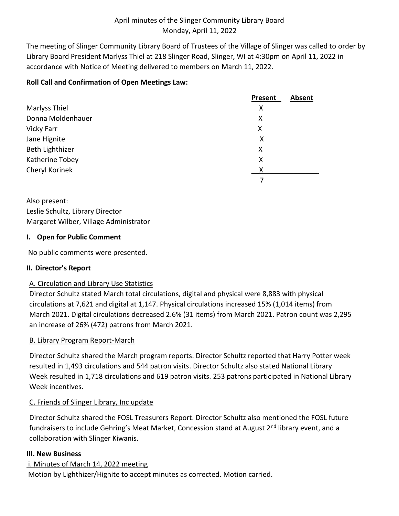The meeting of Slinger Community Library Board of Trustees of the Village of Slinger was called to order by Library Board President Marlyss Thiel at 218 Slinger Road, Slinger, WI at 4:30pm on April 11, 2022 in accordance with Notice of Meeting delivered to members on March 11, 2022.

# **Roll Call and Confirmation of Open Meetings Law:**

|                   | <b>Absent</b><br>Present |
|-------------------|--------------------------|
| Marlyss Thiel     | X                        |
| Donna Moldenhauer | X                        |
| Vicky Farr        | X                        |
| Jane Hignite      | Χ                        |
| Beth Lighthizer   | X                        |
| Katherine Tobey   | X                        |
| Cheryl Korinek    | x                        |
|                   |                          |

Also present: Leslie Schultz, Library Director Margaret Wilber, Village Administrator

## **I. Open for Public Comment**

No public comments were presented.

# **II. Director's Report**

# A. Circulation and Library Use Statistics

Director Schultz stated March total circulations, digital and physical were 8,883 with physical circulations at 7,621 and digital at 1,147. Physical circulations increased 15% (1,014 items) from March 2021. Digital circulations decreased 2.6% (31 items) from March 2021. Patron count was 2,295 an increase of 26% (472) patrons from March 2021.

# B. Library Program Report-March

Director Schultz shared the March program reports. Director Schultz reported that Harry Potter week resulted in 1,493 circulations and 544 patron visits. Director Schultz also stated National Library Week resulted in 1,718 circulations and 619 patron visits. 253 patrons participated in National Library Week incentives.

# C. Friends of Slinger Library, Inc update

Director Schultz shared the FOSL Treasurers Report. Director Schultz also mentioned the FOSL future fundraisers to include Gehring's Meat Market, Concession stand at August  $2^{nd}$  library event, and a collaboration with Slinger Kiwanis.

## **III. New Business**

# i. Minutes of March 14, 2022 meeting

Motion by Lighthizer/Hignite to accept minutes as corrected. Motion carried.